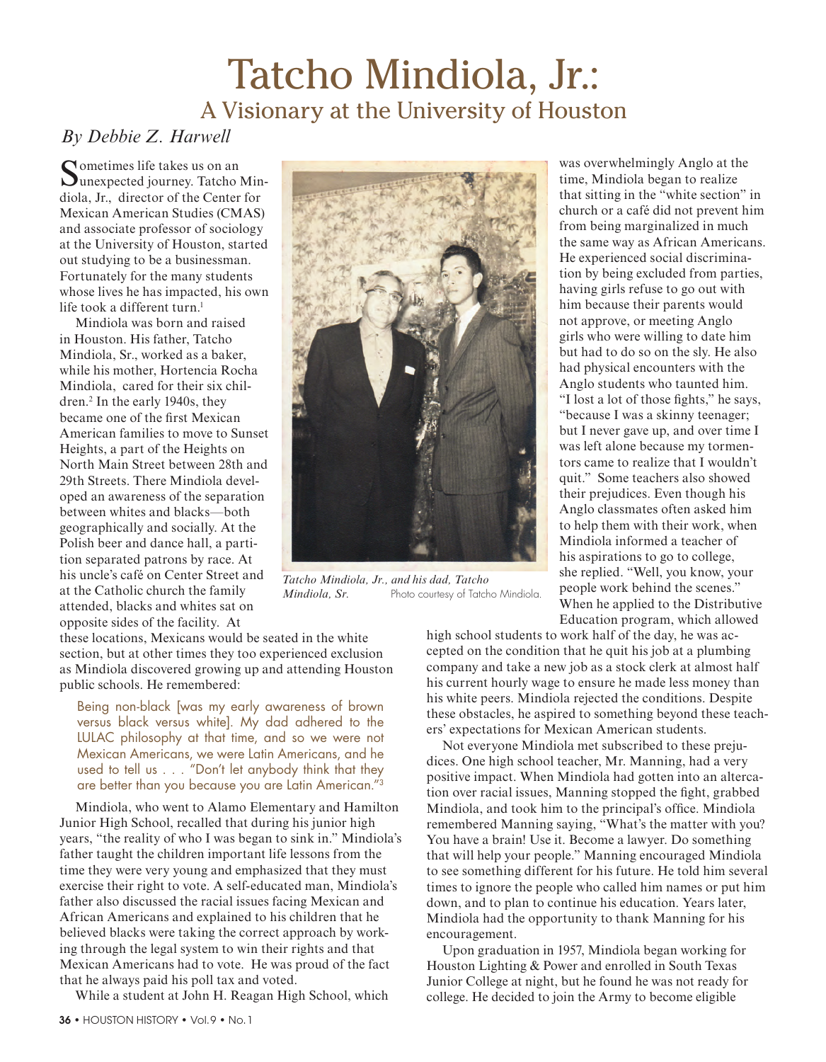## Tatcho Mindiola, Jr.: A Visionary at the University of Houston

## *By Debbie Z. Harwell*

Sometimes life takes us on an Uunexpected journey. Tatcho Mindiola, Jr., director of the Center for Mexican American Studies (CMAS) and associate professor of sociology at the University of Houston, started out studying to be a businessman. Fortunately for the many students whose lives he has impacted, his own life took a different turn.<sup>1</sup>

Mindiola was born and raised in Houston. His father, Tatcho Mindiola, Sr., worked as a baker, while his mother, Hortencia Rocha Mindiola, cared for their six children.2 In the early 1940s, they became one of the first Mexican American families to move to Sunset Heights, a part of the Heights on North Main Street between 28th and 29th Streets. There Mindiola developed an awareness of the separation between whites and blacks—both geographically and socially. At the Polish beer and dance hall, a partition separated patrons by race. At his uncle's café on Center Street and at the Catholic church the family attended, blacks and whites sat on opposite sides of the facility. At



*Tatcho Mindiola, Jr., and his dad, Tatcho Mindiola, Sr.* Photo courtesy of Tatcho Mindiola.

these locations, Mexicans would be seated in the white section, but at other times they too experienced exclusion as Mindiola discovered growing up and attending Houston public schools. He remembered:

Being non-black [was my early awareness of brown versus black versus white]. My dad adhered to the LULAC philosophy at that time, and so we were not Mexican Americans, we were Latin Americans, and he used to tell us . . . "Don't let anybody think that they are better than you because you are Latin American."3

Mindiola, who went to Alamo Elementary and Hamilton Junior High School, recalled that during his junior high years, "the reality of who I was began to sink in." Mindiola's father taught the children important life lessons from the time they were very young and emphasized that they must exercise their right to vote. A self-educated man, Mindiola's father also discussed the racial issues facing Mexican and African Americans and explained to his children that he believed blacks were taking the correct approach by working through the legal system to win their rights and that Mexican Americans had to vote. He was proud of the fact that he always paid his poll tax and voted.

While a student at John H. Reagan High School, which

time, Mindiola began to realize that sitting in the "white section" in church or a café did not prevent him from being marginalized in much the same way as African Americans. He experienced social discrimination by being excluded from parties, having girls refuse to go out with him because their parents would not approve, or meeting Anglo girls who were willing to date him but had to do so on the sly. He also had physical encounters with the Anglo students who taunted him. "I lost a lot of those fights," he says, "because I was a skinny teenager; but I never gave up, and over time I was left alone because my tormentors came to realize that I wouldn't quit." Some teachers also showed their prejudices. Even though his Anglo classmates often asked him to help them with their work, when Mindiola informed a teacher of his aspirations to go to college, she replied. "Well, you know, your people work behind the scenes." When he applied to the Distributive Education program, which allowed

was overwhelmingly Anglo at the

high school students to work half of the day, he was accepted on the condition that he quit his job at a plumbing company and take a new job as a stock clerk at almost half his current hourly wage to ensure he made less money than his white peers. Mindiola rejected the conditions. Despite these obstacles, he aspired to something beyond these teachers' expectations for Mexican American students.

Not everyone Mindiola met subscribed to these prejudices. One high school teacher, Mr. Manning, had a very positive impact. When Mindiola had gotten into an altercation over racial issues, Manning stopped the fight, grabbed Mindiola, and took him to the principal's office. Mindiola remembered Manning saying, "What's the matter with you? You have a brain! Use it. Become a lawyer. Do something that will help your people." Manning encouraged Mindiola to see something different for his future. He told him several times to ignore the people who called him names or put him down, and to plan to continue his education. Years later, Mindiola had the opportunity to thank Manning for his encouragement.

Upon graduation in 1957, Mindiola began working for Houston Lighting & Power and enrolled in South Texas Junior College at night, but he found he was not ready for college. He decided to join the Army to become eligible